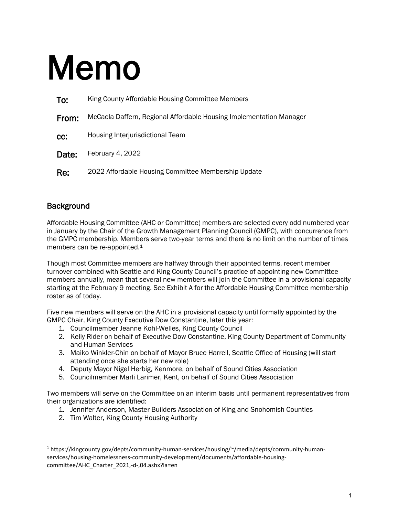# Memo

| To:   | King County Affordable Housing Committee Members                    |
|-------|---------------------------------------------------------------------|
| From: | McCaela Daffern, Regional Affordable Housing Implementation Manager |
| CC:   | Housing Interjurisdictional Team                                    |
| Date: | February 4, 2022                                                    |
| Re:   | 2022 Affordable Housing Committee Membership Update                 |

### **Background**

Affordable Housing Committee (AHC or Committee) members are selected every odd numbered year in January by the Chair of the Growth Management Planning Council (GMPC), with concurrence from the GMPC membership. Members serve two-year terms and there is no limit on the number of times members can be re-appointed.[1](#page-0-0)

Though most Committee members are halfway through their appointed terms, recent member turnover combined with Seattle and King County Council's practice of appointing new Committee members annually, mean that several new members will join the Committee in a provisional capacity starting at the February 9 meeting. See Exhibit A for the Affordable Housing Committee membership roster as of today.

Five new members will serve on the AHC in a provisional capacity until formally appointed by the GMPC Chair, King County Executive Dow Constantine, later this year:

- 1. Councilmember Jeanne Kohl-Welles, King County Council
- 2. Kelly Rider on behalf of Executive Dow Constantine, King County Department of Community and Human Services
- 3. Maiko Winkler-Chin on behalf of Mayor Bruce Harrell, Seattle Office of Housing (will start attending once she starts her new role)
- 4. Deputy Mayor Nigel Herbig, Kenmore, on behalf of Sound Cities Association
- 5. Councilmember Marli Larimer, Kent, on behalf of Sound Cities Association

Two members will serve on the Committee on an interim basis until permanent representatives from their organizations are identified:

- 1. Jennifer Anderson, Master Builders Association of King and Snohomish Counties
- 2. Tim Walter, King County Housing Authority

<span id="page-0-0"></span><sup>1</sup> https://kingcounty.gov/depts/community-human-services/housing/~/media/depts/community-humanservices/housing-homelessness-community-development/documents/affordable-housingcommittee/AHC\_Charter\_2021,-d-,04.ashx?la=en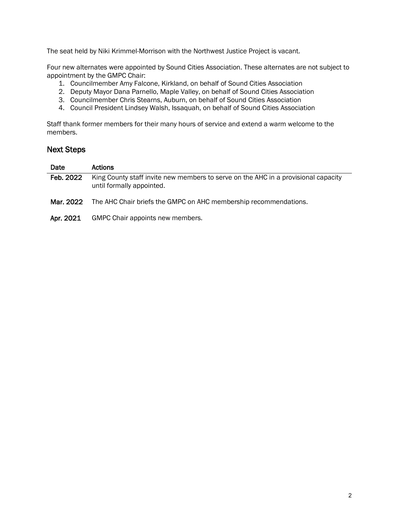The seat held by Niki Krimmel-Morrison with the Northwest Justice Project is vacant.

Four new alternates were appointed by Sound Cities Association. These alternates are not subject to appointment by the GMPC Chair:

- 1. Councilmember Amy Falcone, Kirkland, on behalf of Sound Cities Association
- 2. Deputy Mayor Dana Parnello, Maple Valley, on behalf of Sound Cities Association
- 3. Councilmember Chris Stearns, Auburn, on behalf of Sound Cities Association
- 4. Council President Lindsey Walsh, Issaquah, on behalf of Sound Cities Association

Staff thank former members for their many hours of service and extend a warm welcome to the members.

#### Next Steps

| Date      | <b>Actions</b>                                                                                                  |
|-----------|-----------------------------------------------------------------------------------------------------------------|
| Feb. 2022 | King County staff invite new members to serve on the AHC in a provisional capacity<br>until formally appointed. |
| Mar. 2022 | The AHC Chair briefs the GMPC on AHC membership recommendations.                                                |
|           |                                                                                                                 |

Apr. 2021 GMPC Chair appoints new members.